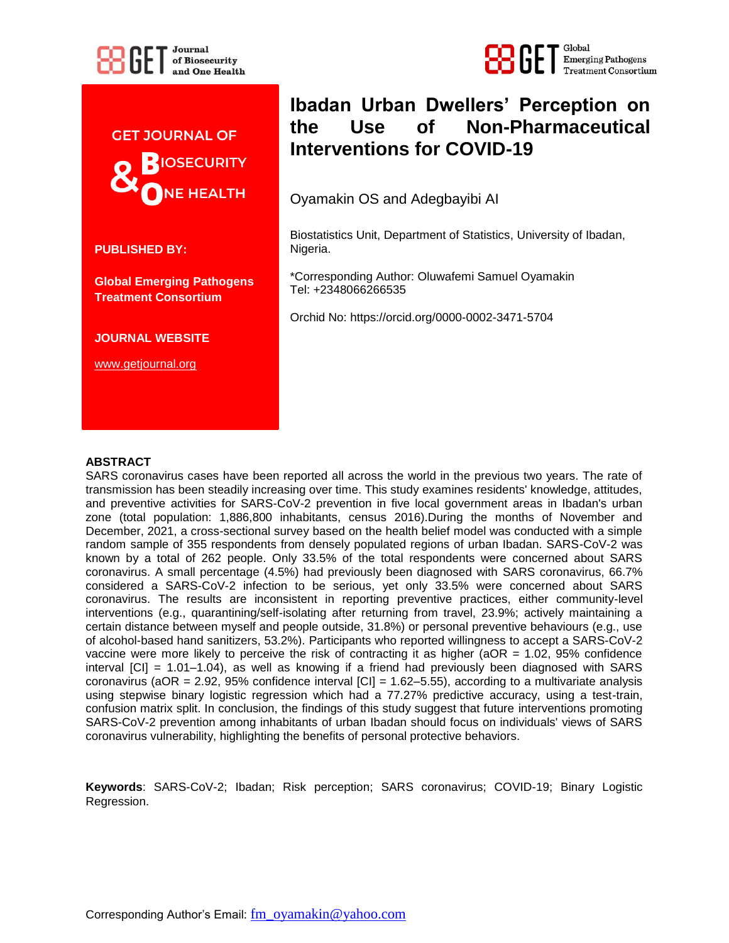



**PUBLISHED BY:**

**Global Emerging Pathogens Treatment Consortium** 

**JOURNAL WEBSITE**

www.getjournal.org

# **Ibadan Urban Dwellers' Perception on the Use of Non-Pharmaceutical Interventions for COVID-19**

Global

**Emerging Pathogens** 

**Treatment Consortium** 

Oyamakin OS and Adegbayibi AI

Biostatistics Unit, Department of Statistics, University of Ibadan, Nigeria.

\*Corresponding Author: Oluwafemi Samuel Oyamakin Tel: +2348066266535

Orchid No: https://orcid.org/0000-0002-3471-5704

### **ABSTRACT**

SARS coronavirus cases have been reported all across the world in the previous two years. The rate of transmission has been steadily increasing over time. This study examines residents' knowledge, attitudes, and preventive activities for SARS-CoV-2 prevention in five local government areas in Ibadan's urban zone (total population: 1,886,800 inhabitants, census 2016).During the months of November and December, 2021, a cross-sectional survey based on the health belief model was conducted with a simple random sample of 355 respondents from densely populated regions of urban Ibadan. SARS-CoV-2 was known by a total of 262 people. Only 33.5% of the total respondents were concerned about SARS coronavirus. A small percentage (4.5%) had previously been diagnosed with SARS coronavirus, 66.7% considered a SARS-CoV-2 infection to be serious, yet only 33.5% were concerned about SARS coronavirus. The results are inconsistent in reporting preventive practices, either community-level interventions (e.g., quarantining/self-isolating after returning from travel, 23.9%; actively maintaining a certain distance between myself and people outside, 31.8%) or personal preventive behaviours (e.g., use of alcohol-based hand sanitizers, 53.2%). Participants who reported willingness to accept a SARS-CoV-2 vaccine were more likely to perceive the risk of contracting it as higher ( $aOR = 1.02$ ,  $95%$  confidence interval [CI] = 1.01–1.04), as well as knowing if a friend had previously been diagnosed with SARS coronavirus (aOR = 2.92, 95% confidence interval [CI] = 1.62–5.55), according to a multivariate analysis using stepwise binary logistic regression which had a 77.27% predictive accuracy, using a test-train, confusion matrix split. In conclusion, the findings of this study suggest that future interventions promoting SARS-CoV-2 prevention among inhabitants of urban Ibadan should focus on individuals' views of SARS coronavirus vulnerability, highlighting the benefits of personal protective behaviors.

**Keywords**: SARS-CoV-2; Ibadan; Risk perception; SARS coronavirus; COVID-19; Binary Logistic Regression.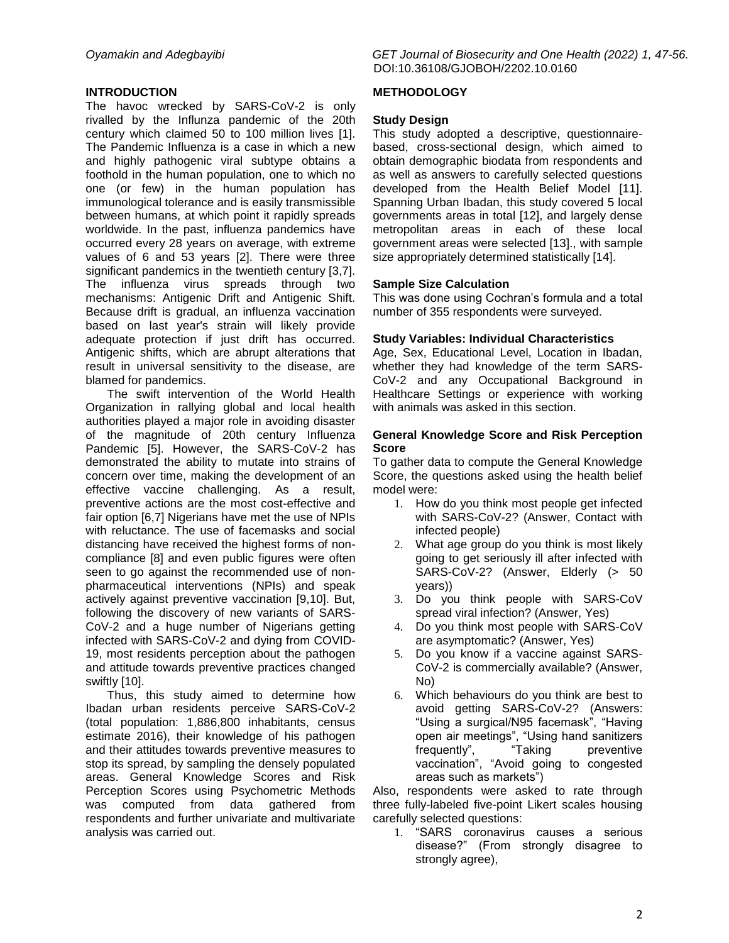### **INTRODUCTION**

The havoc wrecked by SARS-CoV-2 is only rivalled by the Influnza pandemic of the 20th century which claimed 50 to 100 million lives [1]. The Pandemic Influenza is a case in which a new and highly pathogenic viral subtype obtains a foothold in the human population, one to which no one (or few) in the human population has immunological tolerance and is easily transmissible between humans, at which point it rapidly spreads worldwide. In the past, influenza pandemics have occurred every 28 years on average, with extreme values of 6 and 53 years [2]. There were three significant pandemics in the twentieth century [3,7]. The influenza virus spreads through two mechanisms: Antigenic Drift and Antigenic Shift. Because drift is gradual, an influenza vaccination based on last year's strain will likely provide adequate protection if just drift has occurred. Antigenic shifts, which are abrupt alterations that result in universal sensitivity to the disease, are blamed for pandemics.

The swift intervention of the World Health Organization in rallying global and local health authorities played a major role in avoiding disaster of the magnitude of 20th century Influenza Pandemic [5]. However, the SARS-CoV-2 has demonstrated the ability to mutate into strains of concern over time, making the development of an effective vaccine challenging. As a result, preventive actions are the most cost-effective and fair option [6,7] Nigerians have met the use of NPIs with reluctance. The use of facemasks and social distancing have received the highest forms of noncompliance [8] and even public figures were often seen to go against the recommended use of nonpharmaceutical interventions (NPIs) and speak actively against preventive vaccination [9,10]. But, following the discovery of new variants of SARS-CoV-2 and a huge number of Nigerians getting infected with SARS-CoV-2 and dying from COVID-19, most residents perception about the pathogen and attitude towards preventive practices changed swiftly [10].

Thus, this study aimed to determine how Ibadan urban residents perceive SARS-CoV-2 (total population: 1,886,800 inhabitants, census estimate 2016), their knowledge of his pathogen and their attitudes towards preventive measures to stop its spread, by sampling the densely populated areas. General Knowledge Scores and Risk Perception Scores using Psychometric Methods was computed from data gathered from respondents and further univariate and multivariate analysis was carried out.

*Oyamakin and Adegbayibi GET Journal of Biosecurity and One Health (2022) 1, 47-56.* DOI:10.36108/GJOBOH/2202.10.0160

### **METHODOLOGY**

### **Study Design**

This study adopted a descriptive, questionnairebased, cross-sectional design, which aimed to obtain demographic biodata from respondents and as well as answers to carefully selected questions developed from the Health Belief Model [11]. Spanning Urban Ibadan, this study covered 5 local governments areas in total [12], and largely dense metropolitan areas in each of these local government areas were selected [13]., with sample size appropriately determined statistically [14].

### **Sample Size Calculation**

This was done using Cochran's formula and a total number of 355 respondents were surveyed.

### **Study Variables: Individual Characteristics**

Age, Sex, Educational Level, Location in Ibadan, whether they had knowledge of the term SARS-CoV-2 and any Occupational Background in Healthcare Settings or experience with working with animals was asked in this section.

### **General Knowledge Score and Risk Perception Score**

To gather data to compute the General Knowledge Score, the questions asked using the health belief model were:

- 1. How do you think most people get infected with SARS-CoV-2? (Answer, Contact with infected people)
- 2. What age group do you think is most likely going to get seriously ill after infected with SARS-CoV-2? (Answer, Elderly (> 50 years))
- 3. Do you think people with SARS-CoV spread viral infection? (Answer, Yes)
- 4. Do you think most people with SARS-CoV are asymptomatic? (Answer, Yes)
- 5. Do you know if a vaccine against SARS-CoV-2 is commercially available? (Answer, No)
- 6. Which behaviours do you think are best to avoid getting SARS-CoV-2? (Answers: "Using a surgical/N95 facemask", "Having open air meetings", "Using hand sanitizers frequently", "Taking preventive vaccination", "Avoid going to congested areas such as markets‖)

Also, respondents were asked to rate through three fully-labeled five-point Likert scales housing carefully selected questions:

1. "SARS coronavirus causes a serious disease?" (From strongly disagree to strongly agree),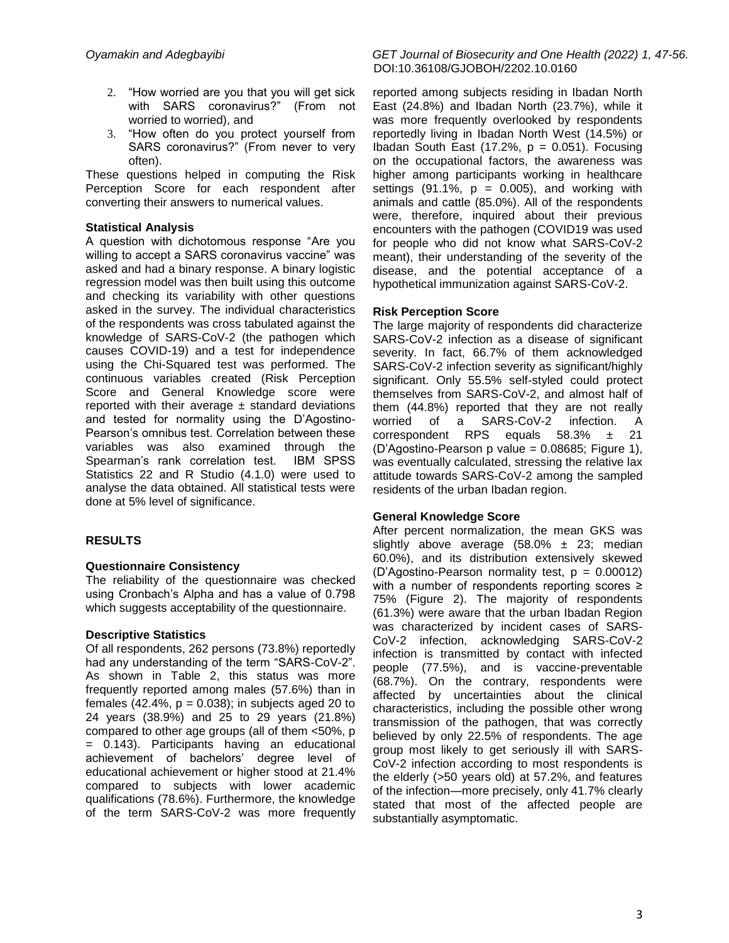- 2. "How worried are you that you will get sick with SARS coronavirus?" (From not worried to worried), and
- 3. "How often do you protect yourself from SARS coronavirus?" (From never to very often).

These questions helped in computing the Risk Perception Score for each respondent after converting their answers to numerical values.

# **Statistical Analysis**

A question with dichotomous response "Are you willing to accept a SARS coronavirus vaccine" was asked and had a binary response. A binary logistic regression model was then built using this outcome and checking its variability with other questions asked in the survey. The individual characteristics of the respondents was cross tabulated against the knowledge of SARS-CoV-2 (the pathogen which causes COVID-19) and a test for independence using the Chi-Squared test was performed. The continuous variables created (Risk Perception Score and General Knowledge score were reported with their average  $\pm$  standard deviations and tested for normality using the D'Agostino-Pearson's omnibus test. Correlation between these variables was also examined through the Spearman's rank correlation test. IBM SPSS Statistics 22 and R Studio (4.1.0) were used to analyse the data obtained. All statistical tests were done at 5% level of significance.

# **RESULTS**

# **Questionnaire Consistency**

The reliability of the questionnaire was checked using Cronbach's Alpha and has a value of 0.798 which suggests acceptability of the questionnaire.

# **Descriptive Statistics**

Of all respondents, 262 persons (73.8%) reportedly had any understanding of the term "SARS-CoV-2". As shown in Table 2, this status was more frequently reported among males (57.6%) than in females  $(42.4\% , p = 0.038)$ ; in subjects aged 20 to 24 years (38.9%) and 25 to 29 years (21.8%) compared to other age groups (all of them <50%, p = 0.143). Participants having an educational achievement of bachelors' degree level of educational achievement or higher stood at 21.4% compared to subjects with lower academic qualifications (78.6%). Furthermore, the knowledge of the term SARS-CoV-2 was more frequently

*Oyamakin and Adegbayibi GET Journal of Biosecurity and One Health (2022) 1, 47-56.* DOI:10.36108/GJOBOH/2202.10.0160

> reported among subjects residing in Ibadan North East (24.8%) and Ibadan North (23.7%), while it was more frequently overlooked by respondents reportedly living in Ibadan North West (14.5%) or Ibadan South East (17.2%,  $p = 0.051$ ). Focusing on the occupational factors, the awareness was higher among participants working in healthcare settings  $(91.1\%, p = 0.005)$ , and working with animals and cattle (85.0%). All of the respondents were, therefore, inquired about their previous encounters with the pathogen (COVID19 was used for people who did not know what SARS-CoV-2 meant), their understanding of the severity of the disease, and the potential acceptance of a hypothetical immunization against SARS-CoV-2.

# **Risk Perception Score**

The large majority of respondents did characterize SARS-CoV-2 infection as a disease of significant severity. In fact, 66.7% of them acknowledged SARS-CoV-2 infection severity as significant/highly significant. Only 55.5% self-styled could protect themselves from SARS-CoV-2, and almost half of them (44.8%) reported that they are not really worried of a SARS-CoV-2 infection. A correspondent RPS equals 58.3% ± 21 (D'Agostino-Pearson p value = 0.08685; Figure 1), was eventually calculated, stressing the relative lax attitude towards SARS-CoV-2 among the sampled residents of the urban Ibadan region.

# **General Knowledge Score**

After percent normalization, the mean GKS was slightly above average  $(58.0\% \pm 23)$ ; median 60.0%), and its distribution extensively skewed  $(D'A$ gostino-Pearson normality test,  $p = 0.00012$ with a number of respondents reporting scores ≥ 75% (Figure 2). The majority of respondents (61.3%) were aware that the urban Ibadan Region was characterized by incident cases of SARS-CoV-2 infection, acknowledging SARS-CoV-2 infection is transmitted by contact with infected people (77.5%), and is vaccine-preventable (68.7%). On the contrary, respondents were affected by uncertainties about the clinical characteristics, including the possible other wrong transmission of the pathogen, that was correctly believed by only 22.5% of respondents. The age group most likely to get seriously ill with SARS-CoV-2 infection according to most respondents is the elderly (>50 years old) at 57.2%, and features of the infection—more precisely, only 41.7% clearly stated that most of the affected people are substantially asymptomatic.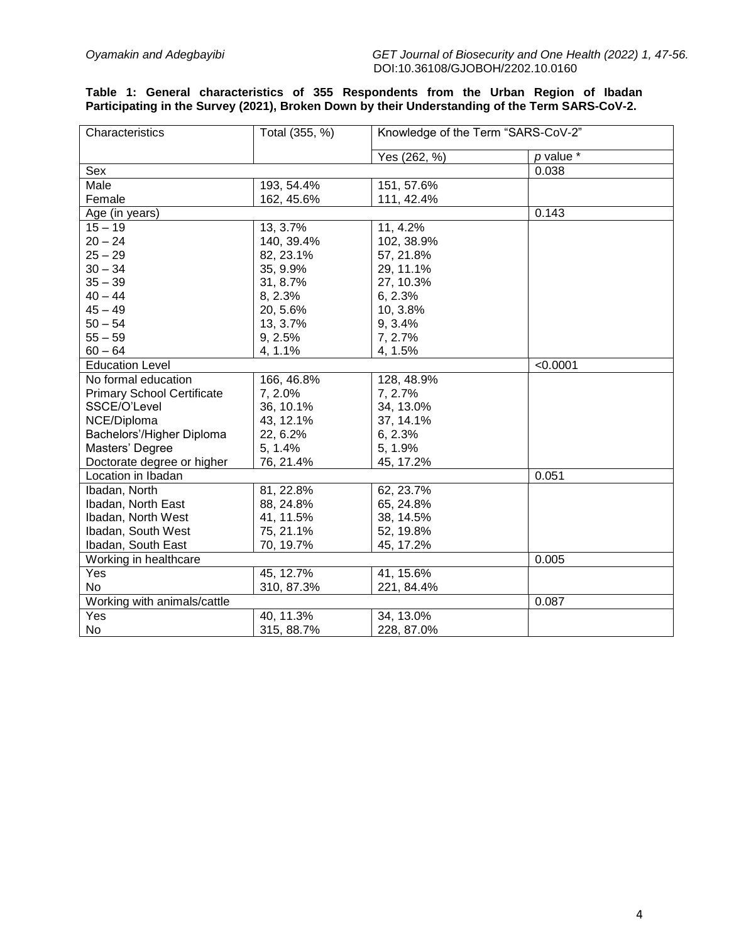### **Table 1: General characteristics of 355 Respondents from the Urban Region of Ibadan Participating in the Survey (2021), Broken Down by their Understanding of the Term SARS-CoV-2.**

| Characteristics                   | Total (355, %) | Knowledge of the Term "SARS-CoV-2" |               |
|-----------------------------------|----------------|------------------------------------|---------------|
|                                   |                | Yes (262, %)                       | $p$ value $*$ |
| Sex                               |                |                                    | 0.038         |
| Male                              | 193, 54.4%     | 151, 57.6%                         |               |
| Female                            | 162, 45.6%     | 111, 42.4%                         |               |
| Age (in years)                    |                | 0.143                              |               |
| $15 - 19$                         | 13, 3.7%       | 11, 4.2%                           |               |
| $20 - 24$                         | 140, 39.4%     | 102, 38.9%                         |               |
| $25 - 29$                         | 82, 23.1%      | 57, 21.8%                          |               |
| $30 - 34$                         | 35, 9.9%       | 29, 11.1%                          |               |
| $35 - 39$                         | 31, 8.7%       | 27, 10.3%                          |               |
| $40 - 44$                         | 8, 2.3%        | 6, 2.3%                            |               |
| $45 - 49$                         | 20, 5.6%       | 10, 3.8%                           |               |
| $50 - 54$                         | 13, 3.7%       | 9, 3.4%                            |               |
| $55 - 59$                         | 9, 2.5%        | 7, 2.7%                            |               |
| $60 - 64$                         | 4, 1.1%        | 4, 1.5%                            |               |
| <b>Education Level</b>            |                |                                    | < 0.0001      |
| No formal education               | 166, 46.8%     | 128, 48.9%                         |               |
| <b>Primary School Certificate</b> | 7, 2.0%        | 7, 2.7%                            |               |
| SSCE/O'Level                      | 36, 10.1%      | 34, 13.0%                          |               |
| NCE/Diploma                       | 43, 12.1%      | 37, 14.1%                          |               |
| Bachelors'/Higher Diploma         | 22, 6.2%       | 6, 2.3%                            |               |
| Masters' Degree                   | 5, 1.4%        | 5, 1.9%                            |               |
| Doctorate degree or higher        | 76, 21.4%      | 45, 17.2%                          |               |
| Location in Ibadan                |                |                                    | 0.051         |
| Ibadan, North                     | 81, 22.8%      | 62, 23.7%                          |               |
| Ibadan, North East                | 88, 24.8%      | 65, 24.8%                          |               |
| Ibadan, North West                | 41, 11.5%      | 38, 14.5%                          |               |
| Ibadan, South West                | 75, 21.1%      | 52, 19.8%                          |               |
| Ibadan, South East                | 70, 19.7%      | 45, 17.2%                          |               |
| Working in healthcare             |                |                                    | 0.005         |
| Yes                               | 45, 12.7%      | 41, 15.6%                          |               |
| No                                | 310, 87.3%     | 221, 84.4%                         |               |
| Working with animals/cattle       |                |                                    | 0.087         |
| Yes                               | 40, 11.3%      | 34, 13.0%                          |               |
| No                                | 315, 88.7%     | 228, 87.0%                         |               |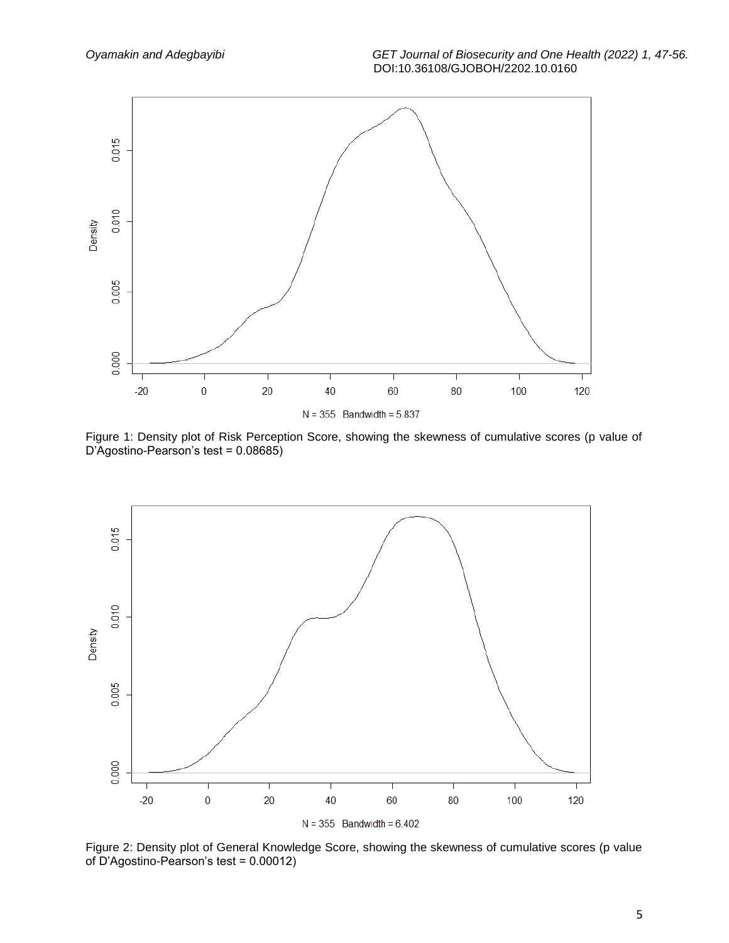

Figure 1: Density plot of Risk Perception Score, showing the skewness of cumulative scores (p value of D'Agostino-Pearson's test = 0.08685)



Figure 2: Density plot of General Knowledge Score, showing the skewness of cumulative scores (p value of D'Agostino-Pearson's test = 0.00012)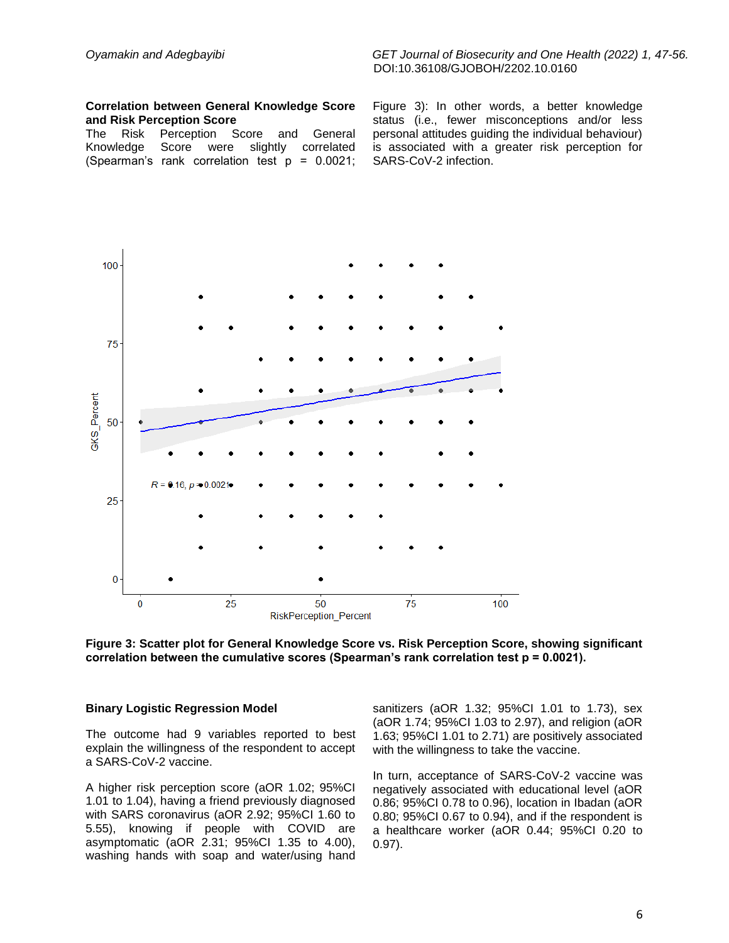### *Oyamakin and Adegbayibi GET Journal of Biosecurity and One Health (2022) 1, 47-56.* DOI:10.36108/GJOBOH/2202.10.0160

#### **Correlation between General Knowledge Score and Risk Perception Score**

The Risk Perception Score and General Knowledge Score were slightly correlated (Spearman's rank correlation test p = 0.0021; Figure 3): In other words, a better knowledge status (i.e., fewer misconceptions and/or less personal attitudes guiding the individual behaviour) is associated with a greater risk perception for SARS-CoV-2 infection.



**Figure 3: Scatter plot for General Knowledge Score vs. Risk Perception Score, showing significant correlation between the cumulative scores (Spearman's rank correlation test p = 0.0021).**

#### **Binary Logistic Regression Model**

The outcome had 9 variables reported to best explain the willingness of the respondent to accept a SARS-CoV-2 vaccine.

A higher risk perception score (aOR 1.02; 95%CI 1.01 to 1.04), having a friend previously diagnosed with SARS coronavirus (aOR 2.92; 95%CI 1.60 to 5.55), knowing if people with COVID are asymptomatic (aOR 2.31; 95%CI 1.35 to 4.00), washing hands with soap and water/using hand sanitizers (aOR 1.32; 95%CI 1.01 to 1.73), sex (aOR 1.74; 95%CI 1.03 to 2.97), and religion (aOR 1.63; 95%CI 1.01 to 2.71) are positively associated with the willingness to take the vaccine.

In turn, acceptance of SARS-CoV-2 vaccine was negatively associated with educational level (aOR 0.86; 95%CI 0.78 to 0.96), location in Ibadan (aOR 0.80; 95%CI 0.67 to 0.94), and if the respondent is a healthcare worker (aOR 0.44; 95%CI 0.20 to 0.97).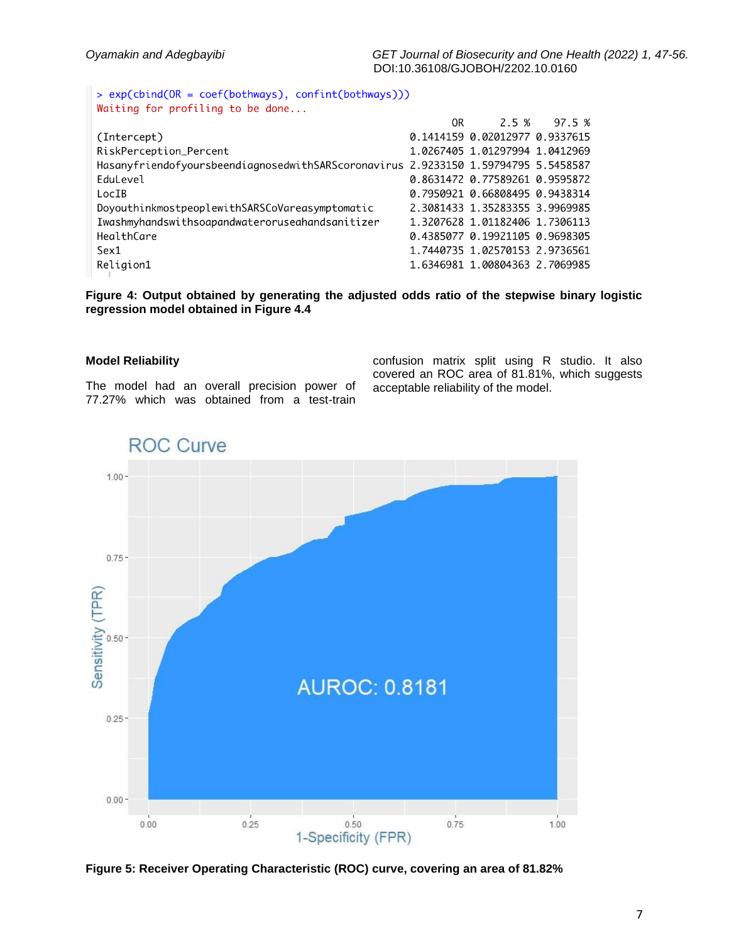> exp(cbind(OR = coef(bothways), confint(bothways))) Waiting for profiling to be done...

|                                                                                    | OR D |                                | 2.5 % 97.5 % |
|------------------------------------------------------------------------------------|------|--------------------------------|--------------|
| (Intercept)                                                                        |      | 0.1414159 0.02012977 0.9337615 |              |
| RiskPerception_Percent                                                             |      | 1.0267405 1.01297994 1.0412969 |              |
| HasanyfriendofyoursbeendiagnosedwithSARScoronavirus 2.9233150 1.59794795 5.5458587 |      |                                |              |
| EduLevel                                                                           |      | 0.8631472 0.77589261 0.9595872 |              |
| LocIB                                                                              |      | 0.7950921 0.66808495 0.9438314 |              |
| DoyouthinkmostpeoplewithSARSCoVareasymptomatic                                     |      | 2.3081433 1.35283355 3.9969985 |              |
| Iwashmyhandswithsoapandwateroruseahandsanitizer                                    |      | 1.3207628 1.01182406 1.7306113 |              |
| HealthCare                                                                         |      | 0.4385077 0.19921105 0.9698305 |              |
| Sex1                                                                               |      | 1.7440735 1.02570153 2.9736561 |              |
| Religion1                                                                          |      | 1.6346981 1.00804363 2.7069985 |              |

**Figure 4: Output obtained by generating the adjusted odds ratio of the stepwise binary logistic regression model obtained in Figure 4.4**

### **Model Reliability**

The model had an overall precision power of 77.27% which was obtained from a test-train

confusion matrix split using R studio. It also covered an ROC area of 81.81%, which suggests acceptable reliability of the model.



**ROC Curve** 

**Figure 5: Receiver Operating Characteristic (ROC) curve, covering an area of 81.82%**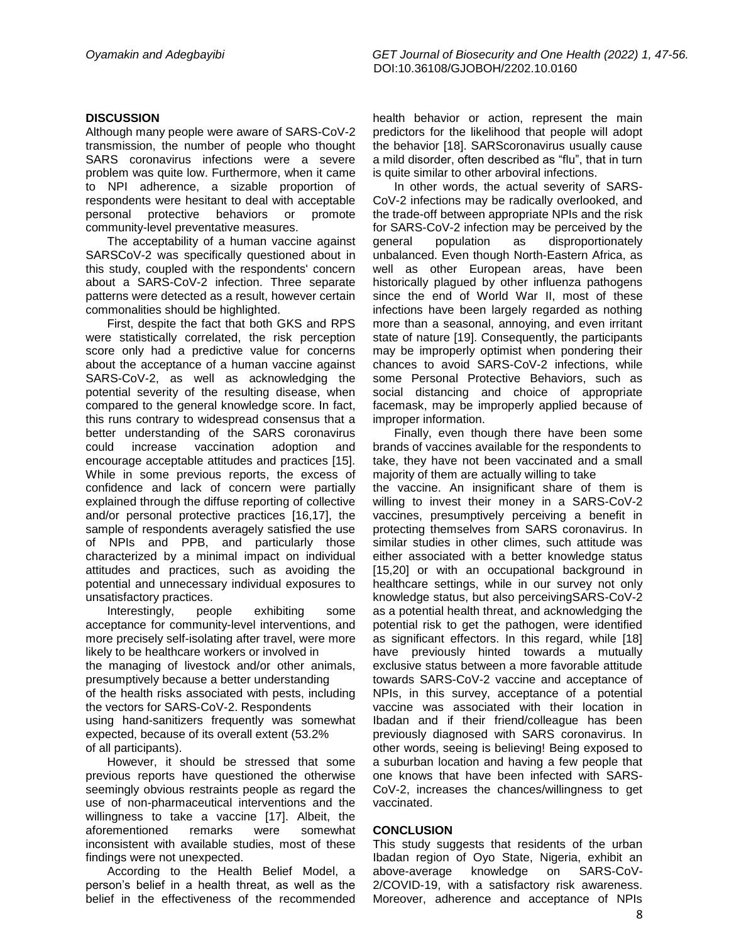### **DISCUSSION**

Although many people were aware of SARS-CoV-2 transmission, the number of people who thought SARS coronavirus infections were a severe problem was quite low. Furthermore, when it came to NPI adherence, a sizable proportion of respondents were hesitant to deal with acceptable personal protective behaviors or promote community-level preventative measures.

The acceptability of a human vaccine against SARSCoV-2 was specifically questioned about in this study, coupled with the respondents' concern about a SARS-CoV-2 infection. Three separate patterns were detected as a result, however certain commonalities should be highlighted.

First, despite the fact that both GKS and RPS were statistically correlated, the risk perception score only had a predictive value for concerns about the acceptance of a human vaccine against SARS-CoV-2, as well as acknowledging the potential severity of the resulting disease, when compared to the general knowledge score. In fact, this runs contrary to widespread consensus that a better understanding of the SARS coronavirus could increase vaccination adoption and encourage acceptable attitudes and practices [15]. While in some previous reports, the excess of confidence and lack of concern were partially explained through the diffuse reporting of collective and/or personal protective practices [16,17], the sample of respondents averagely satisfied the use of NPIs and PPB, and particularly those characterized by a minimal impact on individual attitudes and practices, such as avoiding the potential and unnecessary individual exposures to unsatisfactory practices.

Interestingly, people exhibiting some acceptance for community-level interventions, and more precisely self-isolating after travel, were more likely to be healthcare workers or involved in the managing of livestock and/or other animals, presumptively because a better understanding of the health risks associated with pests, including the vectors for SARS-CoV-2. Respondents using hand-sanitizers frequently was somewhat expected, because of its overall extent (53.2% of all participants).

However, it should be stressed that some previous reports have questioned the otherwise seemingly obvious restraints people as regard the use of non-pharmaceutical interventions and the willingness to take a vaccine [17]. Albeit, the aforementioned remarks were somewhat inconsistent with available studies, most of these findings were not unexpected.

According to the Health Belief Model, a person's belief in a health threat, as well as the belief in the effectiveness of the recommended health behavior or action, represent the main predictors for the likelihood that people will adopt the behavior [18]. SARScoronavirus usually cause a mild disorder, often described as "flu", that in turn is quite similar to other arboviral infections.

In other words, the actual severity of SARS-CoV-2 infections may be radically overlooked, and the trade-off between appropriate NPIs and the risk for SARS-CoV-2 infection may be perceived by the general population as disproportionately unbalanced. Even though North-Eastern Africa, as well as other European areas, have been historically plagued by other influenza pathogens since the end of World War II, most of these infections have been largely regarded as nothing more than a seasonal, annoying, and even irritant state of nature [19]. Consequently, the participants may be improperly optimist when pondering their chances to avoid SARS-CoV-2 infections, while some Personal Protective Behaviors, such as social distancing and choice of appropriate facemask, may be improperly applied because of improper information.

Finally, even though there have been some brands of vaccines available for the respondents to take, they have not been vaccinated and a small majority of them are actually willing to take the vaccine. An insignificant share of them is willing to invest their money in a SARS-CoV-2 vaccines, presumptively perceiving a benefit in protecting themselves from SARS coronavirus. In similar studies in other climes, such attitude was either associated with a better knowledge status [15,20] or with an occupational background in healthcare settings, while in our survey not only knowledge status, but also perceivingSARS-CoV-2 as a potential health threat, and acknowledging the potential risk to get the pathogen, were identified as significant effectors. In this regard, while [18] have previously hinted towards a mutually exclusive status between a more favorable attitude towards SARS-CoV-2 vaccine and acceptance of NPIs, in this survey, acceptance of a potential vaccine was associated with their location in Ibadan and if their friend/colleague has been previously diagnosed with SARS coronavirus. In other words, seeing is believing! Being exposed to a suburban location and having a few people that one knows that have been infected with SARS-CoV-2, increases the chances/willingness to get vaccinated.

### **CONCLUSION**

This study suggests that residents of the urban Ibadan region of Oyo State, Nigeria, exhibit an above-average knowledge on SARS-CoV-2/COVID-19, with a satisfactory risk awareness. Moreover, adherence and acceptance of NPIs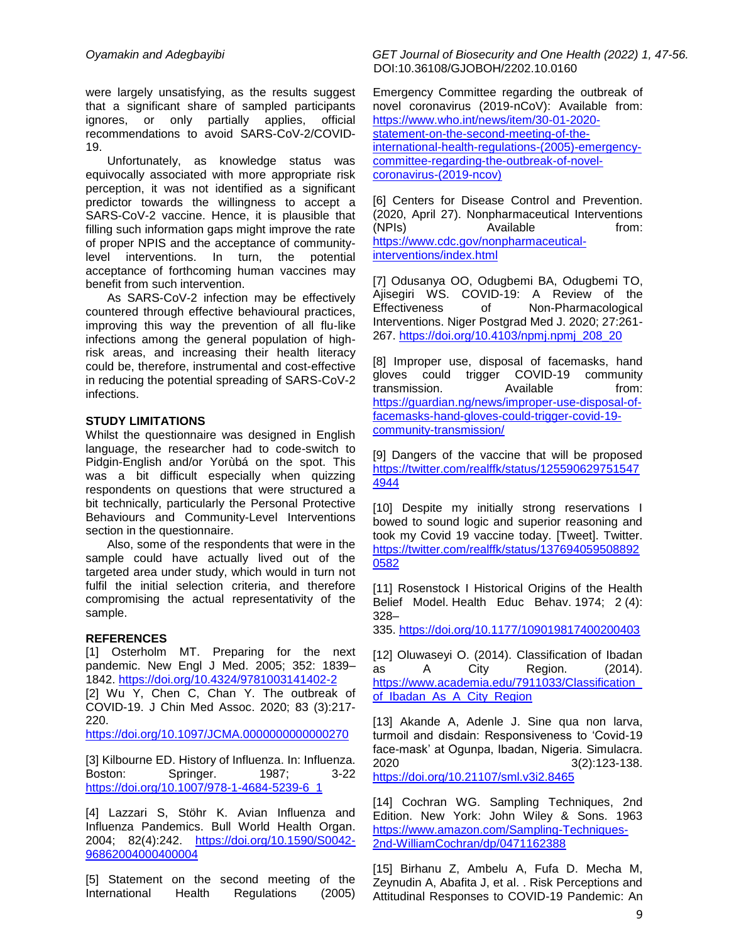were largely unsatisfying, as the results suggest that a significant share of sampled participants ignores, or only partially applies, official recommendations to avoid SARS-CoV-2/COVID-19.

Unfortunately, as knowledge status was equivocally associated with more appropriate risk perception, it was not identified as a significant predictor towards the willingness to accept a SARS-CoV-2 vaccine. Hence, it is plausible that filling such information gaps might improve the rate of proper NPIS and the acceptance of communitylevel interventions. In turn, the potential acceptance of forthcoming human vaccines may benefit from such intervention.

As SARS-CoV-2 infection may be effectively countered through effective behavioural practices, improving this way the prevention of all flu-like infections among the general population of highrisk areas, and increasing their health literacy could be, therefore, instrumental and cost-effective in reducing the potential spreading of SARS-CoV-2 infections.

### **STUDY LIMITATIONS**

Whilst the questionnaire was designed in English language, the researcher had to code-switch to Pidgin-English and/or Yorùbá on the spot. This was a bit difficult especially when quizzing respondents on questions that were structured a bit technically, particularly the Personal Protective Behaviours and Community-Level Interventions section in the questionnaire.

Also, some of the respondents that were in the sample could have actually lived out of the targeted area under study, which would in turn not fulfil the initial selection criteria, and therefore compromising the actual representativity of the sample.

### **REFERENCES**

[1] Osterholm MT. Preparing for the next pandemic. New Engl J Med. 2005; 352: 1839– 1842.<https://doi.org/10.4324/9781003141402-2>

[2] Wu Y, Chen C, Chan Y. The outbreak of COVID-19. J Chin Med Assoc. 2020; 83 (3):217- 220.

<https://doi.org/10.1097/JCMA.0000000000000270>

[3] Kilbourne ED. History of Influenza. In: Influenza. Boston: Springer. 1987; 3-22 [https://doi.org/10.1007/978-1-4684-5239-6\\_1](https://doi.org/10.1007/978-1-4684-5239-6_1)

[4] Lazzari S, Stöhr K. Avian Influenza and Influenza Pandemics. Bull World Health Organ. 2004; 82(4):242. [https://doi.org/10.1590/S0042-](https://doi.org/10.1590/S0042-96862004000400004) [96862004000400004](https://doi.org/10.1590/S0042-96862004000400004)

[5] Statement on the second meeting of the International Health Regulations (2005)

*Oyamakin and Adegbayibi GET Journal of Biosecurity and One Health (2022) 1, 47-56.* DOI:10.36108/GJOBOH/2202.10.0160

> Emergency Committee regarding the outbreak of novel coronavirus (2019-nCoV): Available from: [https://www.who.int/news/item/30-01-2020](https://www.who.int/news/item/30-01-2020-statement-on-the-second-meeting-of-the-international-health-regulations-(2005)-emergency-committee-regarding-the-outbreak-of-novel-coronavirus-(2019-ncov)) [statement-on-the-second-meeting-of-the](https://www.who.int/news/item/30-01-2020-statement-on-the-second-meeting-of-the-international-health-regulations-(2005)-emergency-committee-regarding-the-outbreak-of-novel-coronavirus-(2019-ncov))[international-health-regulations-\(2005\)-emergency](https://www.who.int/news/item/30-01-2020-statement-on-the-second-meeting-of-the-international-health-regulations-(2005)-emergency-committee-regarding-the-outbreak-of-novel-coronavirus-(2019-ncov))[committee-regarding-the-outbreak-of-novel](https://www.who.int/news/item/30-01-2020-statement-on-the-second-meeting-of-the-international-health-regulations-(2005)-emergency-committee-regarding-the-outbreak-of-novel-coronavirus-(2019-ncov))[coronavirus-\(2019-ncov\)](https://www.who.int/news/item/30-01-2020-statement-on-the-second-meeting-of-the-international-health-regulations-(2005)-emergency-committee-regarding-the-outbreak-of-novel-coronavirus-(2019-ncov))

[6] Centers for Disease Control and Prevention. (2020, April 27). Nonpharmaceutical Interventions (NPIs) Available from: [https://www.cdc.gov/nonpharmaceutical](https://www.cdc.gov/nonpharmaceutical-interventions/index.html)[interventions/index.html](https://www.cdc.gov/nonpharmaceutical-interventions/index.html)

[7] Odusanya OO, Odugbemi BA, Odugbemi TO, Ajisegiri WS. COVID-19: A Review of the Effectiveness of Non-Pharmacological Interventions. Niger Postgrad Med J. 2020; 27:261- 267. [https://doi.org/10.4103/npmj.npmj\\_208\\_20](https://doi.org/10.4103/npmj.npmj_208_20)

[8] Improper use, disposal of facemasks, hand gloves could trigger COVID-19 community transmission. Available from: [https://guardian.ng/news/improper-use-disposal-of](https://guardian.ng/news/improper-use-disposal-of-facemasks-hand-gloves-could-trigger-covid-19-community-transmission/)[facemasks-hand-gloves-could-trigger-covid-19](https://guardian.ng/news/improper-use-disposal-of-facemasks-hand-gloves-could-trigger-covid-19-community-transmission/) [community-transmission/](https://guardian.ng/news/improper-use-disposal-of-facemasks-hand-gloves-could-trigger-covid-19-community-transmission/)

[9] Dangers of the vaccine that will be proposed [https://twitter.com/realffk/status/125590629751547](https://twitter.com/realffk/status/1255906297515474944) [4944](https://twitter.com/realffk/status/1255906297515474944)

[10] Despite my initially strong reservations I bowed to sound logic and superior reasoning and took my Covid 19 vaccine today. [Tweet]. Twitter. [https://twitter.com/realffk/status/137694059508892](https://twitter.com/realffk/status/1376940595088920582) [0582](https://twitter.com/realffk/status/1376940595088920582)

[11] Rosenstock I Historical Origins of the Health Belief Model. Health Educ Behav. 1974; 2 (4): 328–

335. <https://doi.org/10.1177/109019817400200403>

[12] Oluwaseyi O. (2014). Classification of Ibadan as A City Region. (2014). [https://www.academia.edu/7911033/Classification\\_](https://www.academia.edu/7911033/Classification_of_Ibadan_As_A_City_Region) [of\\_Ibadan\\_As\\_A\\_City\\_Region](https://www.academia.edu/7911033/Classification_of_Ibadan_As_A_City_Region)

[13] Akande A, Adenle J. Sine qua non larva, turmoil and disdain: Responsiveness to 'Covid-19 face-mask' at Ogunpa, Ibadan, Nigeria. Simulacra. 2020 3(2):123-138. <https://doi.org/10.21107/sml.v3i2.8465>

[14] Cochran WG. Sampling Techniques, 2nd Edition. New York: John Wiley & Sons. 1963 [https://www.amazon.com/Sampling-Techniques-](https://www.amazon.com/Sampling-Techniques-2nd-WilliamCochran/dp/0471162388)[2nd-WilliamCochran/dp/0471162388](https://www.amazon.com/Sampling-Techniques-2nd-WilliamCochran/dp/0471162388)

[15] Birhanu Z, Ambelu A, Fufa D. Mecha M, Zeynudin A, Abafita J, et al. . Risk Perceptions and Attitudinal Responses to COVID-19 Pandemic: An